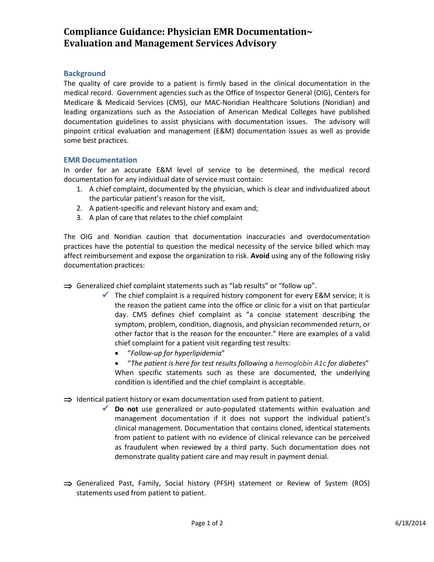# **Compliance Guidance: Physician EMR Documentation~ Evaluation and Management Services Advisory**

## **Background**

The quality of care provide to a patient is firmly based in the clinical documentation in the medical record. Government agencies such as the Office of Inspector General (OIG), Centers for Medicare & Medicaid Services (CMS), our MAC-Noridian Healthcare Solutions (Noridian) and leading organizations such as the Association of American Medical Colleges have published documentation guidelines to assist physicians with documentation issues. The advisory will pinpoint critical evaluation and management (E&M) documentation issues as well as provide some best practices.

## **EMR Documentation**

In order for an accurate E&M level of service to be determined, the medical record documentation for any individual date of service must contain:

- 1. A chief complaint, documented by the physician, which is clear and individualized about the particular patient's reason for the visit,
- 2. A patient-specific and relevant history and exam and;
- 3. A plan of care that relates to the chief complaint

The OIG and Noridian caution that documentation inaccuracies and overdocumentation practices have the potential to question the medical necessity of the service billed which may affect reimbursement and expose the organization to risk. **Avoid** using any of the following risky documentation practices:

⇒ Generalized chief complaint statements such as "lab results" or "follow up".

- $\checkmark$  The chief complaint is a required history component for every E&M service; it is the reason the patient came into the office or clinic for a visit on that particular day. CMS defines chief complaint as "a concise statement describing the symptom, problem, condition, diagnosis, and physician recommended return, or other factor that is the reason for the encounter." Here are examples of a valid chief complaint for a patient visit regarding test results:
	- "*Follow-up for hyperlipidemia*"
	- "*The patient is here for test results following a hemoglobin A1c for diabetes*" When specific statements such as these are documented, the underlying condition is identified and the chief complaint is acceptable.
- $\Rightarrow$  Identical patient history or exam documentation used from patient to patient.
	- **Do not** use generalized or auto-populated statements within evaluation and management documentation if it does not support the individual patient's clinical management. Documentation that contains cloned, identical statements from patient to patient with no evidence of clinical relevance can be perceived as fraudulent when reviewed by a third party. Such documentation does not demonstrate quality patient care and may result in payment denial.
- ⇒ Generalized Past, Family, Social history (PFSH) statement or Review of System (ROS) statements used from patient to patient.